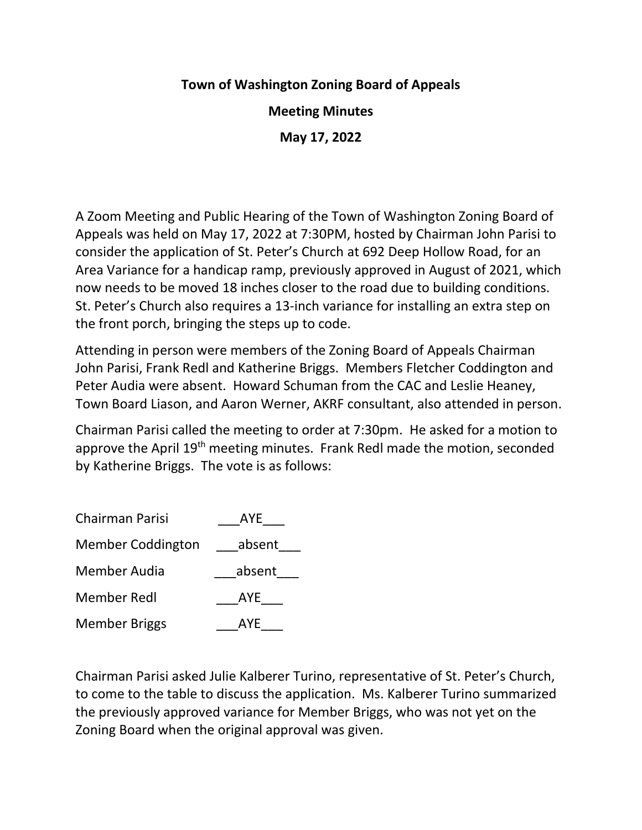## **Town of Washington Zoning Board of Appeals**

**Meeting Minutes**

**May 17, 2022**

A Zoom Meeting and Public Hearing of the Town of Washington Zoning Board of Appeals was held on May 17, 2022 at 7:30PM, hosted by Chairman John Parisi to consider the application of St. Peter's Church at 692 Deep Hollow Road, for an Area Variance for a handicap ramp, previously approved in August of 2021, which now needs to be moved 18 inches closer to the road due to building conditions. St. Peter's Church also requires a 13-inch variance for installing an extra step on the front porch, bringing the steps up to code.

Attending in person were members of the Zoning Board of Appeals Chairman John Parisi, Frank Redl and Katherine Briggs. Members Fletcher Coddington and Peter Audia were absent. Howard Schuman from the CAC and Leslie Heaney, Town Board Liason, and Aaron Werner, AKRF consultant, also attended in person.

Chairman Parisi called the meeting to order at 7:30pm. He asked for a motion to approve the April 19<sup>th</sup> meeting minutes. Frank Redl made the motion, seconded by Katherine Briggs. The vote is as follows:

| Chairman Parisi          | AYE    |
|--------------------------|--------|
| <b>Member Coddington</b> | absent |
| Member Audia             | absent |
| <b>Member Redl</b>       | AYE    |
| <b>Member Briggs</b>     | AYE    |

Chairman Parisi asked Julie Kalberer Turino, representative of St. Peter's Church, to come to the table to discuss the application. Ms. Kalberer Turino summarized the previously approved variance for Member Briggs, who was not yet on the Zoning Board when the original approval was given.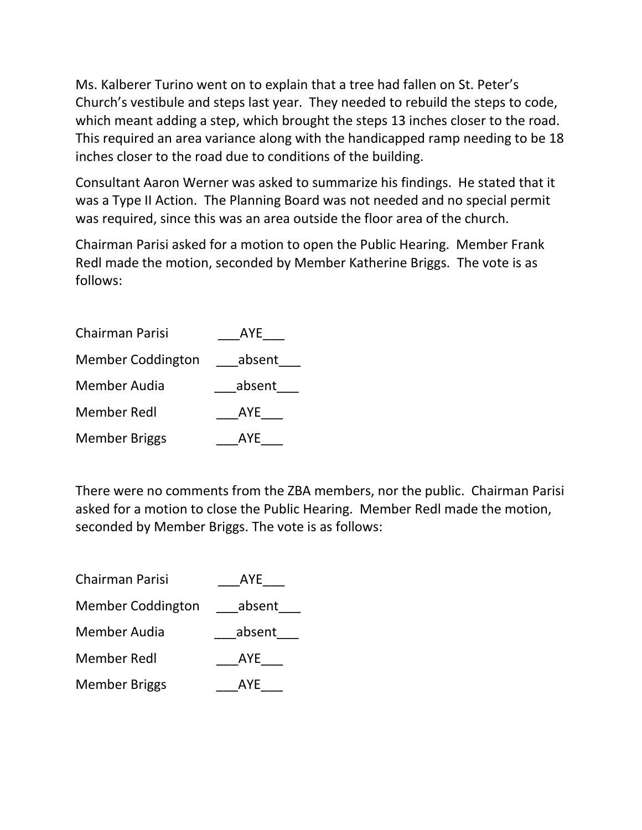Ms. Kalberer Turino went on to explain that a tree had fallen on St. Peter's Church's vestibule and steps last year. They needed to rebuild the steps to code, which meant adding a step, which brought the steps 13 inches closer to the road. This required an area variance along with the handicapped ramp needing to be 18 inches closer to the road due to conditions of the building.

Consultant Aaron Werner was asked to summarize his findings. He stated that it was a Type II Action. The Planning Board was not needed and no special permit was required, since this was an area outside the floor area of the church.

Chairman Parisi asked for a motion to open the Public Hearing. Member Frank Redl made the motion, seconded by Member Katherine Briggs. The vote is as follows:

| <b>Chairman Parisi</b>   | AYE    |
|--------------------------|--------|
| <b>Member Coddington</b> | absent |
| Member Audia             | absent |
| <b>Member Redl</b>       | AYE    |
| <b>Member Briggs</b>     | AYE    |

There were no comments from the ZBA members, nor the public. Chairman Parisi asked for a motion to close the Public Hearing. Member Redl made the motion, seconded by Member Briggs. The vote is as follows:

| <b>Chairman Parisi</b>   | AYE    |
|--------------------------|--------|
| <b>Member Coddington</b> | absent |
| Member Audia             | absent |
| <b>Member Redl</b>       | AYE    |
| <b>Member Briggs</b>     | AYE    |